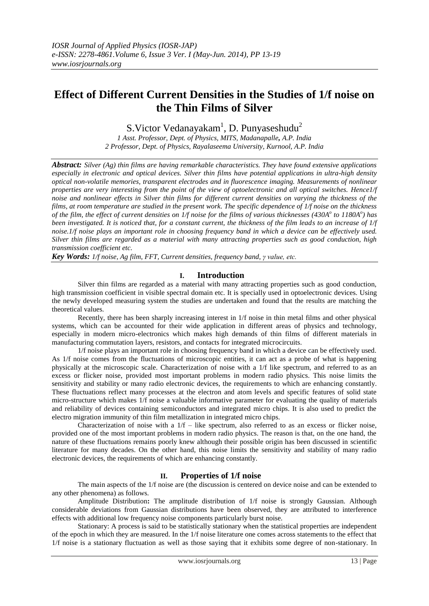# **Effect of Different Current Densities in the Studies of 1/f noise on the Thin Films of Silver**

S.Victor Vedanayakam<sup>1</sup>, D. Punyaseshudu<sup>2</sup>

*1 Asst. Professor, Dept. of Physics, MITS, Madanapalle, A.P. India 2 Professor, Dept. of Physics, Rayalaseema University, Kurnool, A.P. India*

*Abstract: Silver (Ag) thin films are having remarkable characteristics. They have found extensive applications especially in electronic and optical devices. Silver thin films have potential applications in ultra-high density optical non-volatile memories, transparent electrodes and in fluorescence imaging. Measurements of nonlinear properties are very interesting from the point of the view of optoelectronic and all optical switches. Hence1/f noise and nonlinear effects in Silver thin films for different current densities on varying the thickness of the films, at room temperature are studied in the present work. The specific dependence of 1/f noise on the thickness of the film, the effect of current densities on 1/f noise for the films of various thicknesses (430A<sup>o</sup> to 1180A<sup>o</sup> ) has been investigated. It is noticed that, for a constant current, the thickness of the film leads to an increase of 1/f noise.1/f noise plays an important role in choosing frequency band in which a device can be effectively used. Silver thin films are regarded as a material with many attracting properties such as good conduction, high transmission coefficient etc.* 

*Key Words: 1/f noise, Ag film, FFT, Current densities, frequency band, γ value, etc.* 

#### **I. Introduction**

Silver thin films are regarded as a material with many attracting properties such as good conduction, high transmission coefficient in visible spectral domain etc. It is specially used in optoelectronic devices. Using the newly developed measuring system the studies are undertaken and found that the results are matching the theoretical values.

Recently, there has been sharply increasing interest in 1/f noise in thin metal films and other physical systems, which can be accounted for their wide application in different areas of physics and technology, especially in modern micro-electronics which makes high demands of thin films of different materials in manufacturing commutation layers, resistors, and contacts for integrated microcircuits.

1/f noise plays an important role in choosing frequency band in which a device can be effectively used. As 1/f noise comes from the fluctuations of microscopic entities, it can act as a probe of what is happening physically at the microscopic scale. Characterization of noise with a 1/f like spectrum, and referred to as an excess or flicker noise, provided most important problems in modern radio physics. This noise limits the sensitivity and stability or many radio electronic devices, the requirements to which are enhancing constantly. These fluctuations reflect many processes at the electron and atom levels and specific features of solid state micro-structure which makes 1/f noise a valuable informative parameter for evaluating the quality of materials and reliability of devices containing semiconductors and integrated micro chips. It is also used to predict the electro migration immunity of thin film metallization in integrated micro chips.

Characterization of noise with a  $1/f$  – like spectrum, also referred to as an excess or flicker noise, provided one of the most important problems in modern radio physics. The reason is that, on the one hand, the nature of these fluctuations remains poorly knew although their possible origin has been discussed in scientific literature for many decades. On the other hand, this noise limits the sensitivity and stability of many radio electronic devices, the requirements of which are enhancing constantly.

## **II. Properties of 1/f noise**

The main aspects of the 1/f noise are (the discussion is centered on device noise and can be extended to any other phenomena) as follows.

Amplitude Distribution**:** The amplitude distribution of 1/f noise is strongly Gaussian. Although considerable deviations from Gaussian distributions have been observed, they are attributed to interference effects with additional low frequency noise components particularly burst noise.

Stationary: A process is said to be statistically stationary when the statistical properties are independent of the epoch in which they are measured. In the 1/f noise literature one comes across statements to the effect that 1/f noise is a stationary fluctuation as well as those saying that it exhibits some degree of non-stationary. In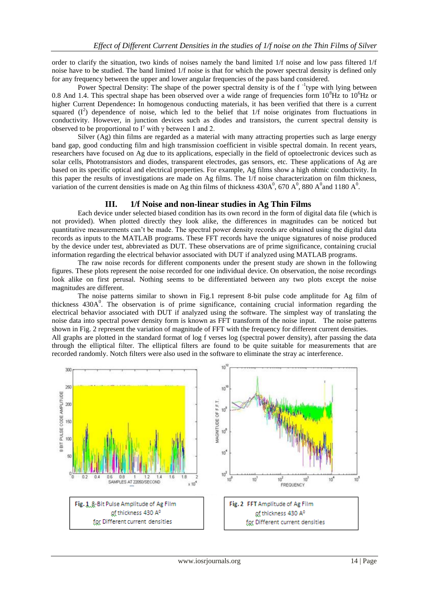order to clarify the situation, two kinds of noises namely the band limited 1/f noise and low pass filtered 1/f noise have to be studied. The band limited 1/f noise is that for which the power spectral density is defined only for any frequency between the upper and lower angular frequencies of the pass band considered.

Power Spectral Density: The shape of the power spectral density is of the f<sup>-1</sup>type with lying between 0.8 And 1.4. This spectral shape has been observed over a wide range of frequencies form  $10^8$ Hz to  $10^6$ Hz or higher Current Dependence**:** In homogenous conducting materials, it has been verified that there is a current squared  $(I^2)$  dependence of noise, which led to the belief that  $1/f$  noise originates from fluctuations in conductivity. However, in junction devices such as diodes and transistors, the current spectral density is observed to be proportional to I<sup>γ</sup> with  $\gamma$  between 1 and 2.

 Silver (Ag) thin films are regarded as a material with many attracting properties such as large energy band gap, good conducting film and high transmission coefficient in visible spectral domain. In recent years, researchers have focused on Ag due to its applications, especially in the field of optoelectronic devices such as solar cells, Phototransistors and diodes, transparent electrodes, gas sensors, etc. These applications of Ag are based on its specific optical and electrical properties. For example, Ag films show a high ohmic conductivity. In this paper the results of investigations are made on Ag films. The 1/f noise characterization on film thickness, variation of the current densities is made on Ag thin films of thickness  $430A^0$ ,  $670A^0$ ,  $880A^0$  and  $1180A^0$ .

## **III. 1/f Noise and non-linear studies in Ag Thin Films**

Each device under selected biased condition has its own record in the form of digital data file (which is not provided). When plotted directly they look alike, the differences in magnitudes can be noticed but quantitative measurements can"t be made. The spectral power density records are obtained using the digital data records as inputs to the MATLAB programs. These FFT records have the unique signatures of noise produced by the device under test, abbreviated as DUT. These observations are of prime significance, containing crucial information regarding the electrical behavior associated with DUT if analyzed using MATLAB programs.

The raw noise records for different components under the present study are shown in the following figures. These plots represent the noise recorded for one individual device. On observation, the noise recordings look alike on first perusal. Nothing seems to be differentiated between any two plots except the noise magnitudes are different.

The noise patterns similar to shown in Fig.1 represent 8-bit pulse code amplitude for Ag film of thickness  $430A<sup>0</sup>$ . The observation is of prime significance, containing crucial information regarding the electrical behavior associated with DUT if analyzed using the software. The simplest way of translating the noise data into spectral power density form is known as FFT transform of the noise input. The noise patterns shown in Fig. 2 represent the variation of magnitude of FFT with the frequency for different current densities. All graphs are plotted in the standard format of log f verses log (spectral power density), after passing the data through the elliptical filter. The elliptical filters are found to be quite suitable for measurements that are recorded randomly. Notch filters were also used in the software to eliminate the stray ac interference.

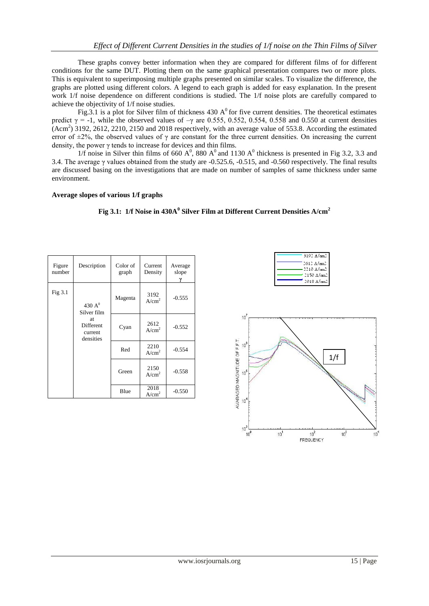These graphs convey better information when they are compared for different films of for different conditions for the same DUT. Plotting them on the same graphical presentation compares two or more plots. This is equivalent to superimposing multiple graphs presented on similar scales. To visualize the difference, the graphs are plotted using different colors. A legend to each graph is added for easy explanation. In the present work 1/f noise dependence on different conditions is studied. The 1/f noise plots are carefully compared to achieve the objectivity of 1/f noise studies.

Fig.3.1 is a plot for Silver film of thickness 430  $A^0$  for five current densities. The theoretical estimates predict  $\gamma = -1$ , while the observed values of  $-\gamma$  are 0.555, 0.552, 0.554, 0.558 and 0.550 at current densities  $(Acm<sup>2</sup>)$  3192, 2612, 2210, 2150 and 2018 respectively, with an average value of 553.8. According the estimated error of  $\pm 2\%$ , the observed values of  $\gamma$  are constant for the three current densities. On increasing the current density, the power  $\gamma$  tends to increase for devices and thin films.

1/f noise in Silver thin films of 660 A<sup>0</sup>, 880 A<sup>0</sup> and 1130 A<sup>0</sup> thickness is presented in Fig 3.2, 3.3 and 3.4. The average γ values obtained from the study are -0.525.6, -0.515, and -0.560 respectively. The final results are discussed basing on the investigations that are made on number of samples of same thickness under same environment.

#### **Average slopes of various 1/f graphs**

**Fig 3.1: 1/f Noise in 430A<sup>0</sup> Silver Film at Different Current Densities A/cm<sup>2</sup>**

| Figure<br>number | Description                                                                | Color of<br>graph | Current<br>Density        | Average<br>slope |
|------------------|----------------------------------------------------------------------------|-------------------|---------------------------|------------------|
| Fig 3.1          | 430 $A^0$<br>Silver film<br><b>at</b><br>Different<br>current<br>densities | Magenta           | 3192<br>A/cm <sup>2</sup> | $-0.555$         |
|                  |                                                                            | Cyan              | 2612<br>A/cm <sup>2</sup> | $-0.552$         |
|                  |                                                                            | Red               | 2210<br>A/cm <sup>2</sup> | $-0.554$         |
|                  |                                                                            | Green             | 2150<br>A/cm <sup>2</sup> | $-0.558$         |
|                  |                                                                            | Blue              | 2018<br>A/cm <sup>2</sup> | $-0.550$         |

| 3192 A/cm2               |
|--------------------------|
| $2612$ A/cm <sup>2</sup> |
| 2210 A/cm2               |
| 2150 A/cm2               |
| 2018 A/cm2               |

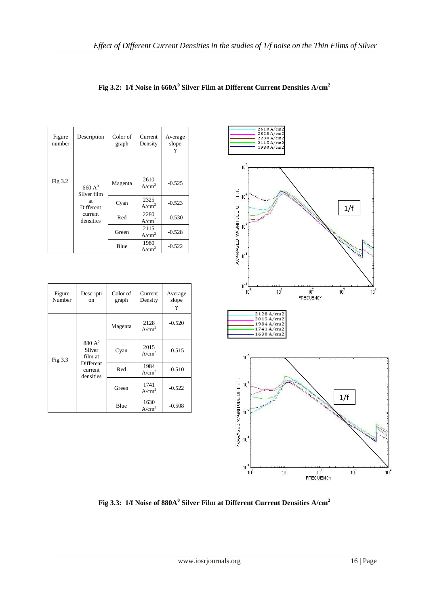| Figure<br>number                         | Description             | Color of<br>graph | Current<br>Density        | Average<br>slope |
|------------------------------------------|-------------------------|-------------------|---------------------------|------------------|
| Fig $3.2$                                | 660 $A0$<br>Silver film | Magenta           | 2610<br>A/cm <sup>2</sup> | $-0.525$         |
| at.<br>Different<br>current<br>densities |                         | Cyan              | 2325<br>A/cm <sup>2</sup> | $-0.523$         |
|                                          |                         | Red               | 2280<br>A/cm <sup>2</sup> | $-0.530$         |
|                                          |                         | Green             | 2115<br>A/cm <sup>2</sup> | $-0.528$         |
|                                          |                         | Blue              | 1980<br>A/cm <sup>2</sup> | $-0.522$         |

| Figure<br>Number | Descripti<br><sub>on</sub>                                         | Color of<br>graph | Current<br>Density        | Average<br>slope |
|------------------|--------------------------------------------------------------------|-------------------|---------------------------|------------------|
| Fig 3.3          | $880A^0$<br>Silver<br>film at<br>Different<br>current<br>densities | Magenta           | 2128<br>A/cm <sup>2</sup> | $-0.520$         |
|                  |                                                                    | Cyan              | 2015<br>A/cm <sup>2</sup> | $-0.515$         |
|                  |                                                                    | Red               | 1984<br>A/cm <sup>2</sup> | $-0.510$         |
|                  |                                                                    | Green             | 1741<br>A/cm <sup>2</sup> | $-0.522$         |
|                  |                                                                    | Blue              | 1630<br>A/cm <sup>2</sup> | $-0.508$         |



**Fig 3.3: 1/f Noise of 880A<sup>0</sup> Silver Film at Different Current Densities A/cm<sup>2</sup>**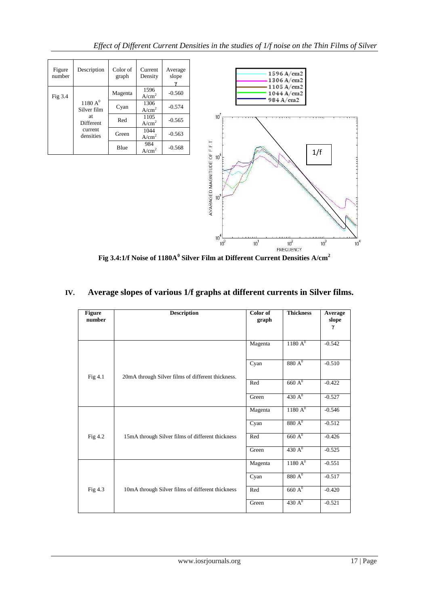| Figure<br>number | Description                                                   | Color of<br>graph | Current<br>Density        | Average<br>slope |
|------------------|---------------------------------------------------------------|-------------------|---------------------------|------------------|
| Fig $3.4$        | 1180 A <sup>0</sup><br>Silver film<br>at.<br><b>Different</b> | Magenta           | 1596<br>A/cm <sup>2</sup> | $-0.560$         |
|                  |                                                               | Cyan              | 1306<br>A/cm <sup>2</sup> | $-0.574$         |
|                  |                                                               | Red               | 1105<br>A/cm <sup>2</sup> | $-0.565$         |
|                  | current<br>densities                                          | Green             | 1044<br>A/cm <sup>2</sup> | $-0.563$         |
|                  |                                                               | Blue              | 984<br>A/cm <sup>2</sup>  | $-0.568$         |



**Fig 3.4:1/f Noise of 1180A<sup>0</sup> Silver Film at Different Current Densities A/cm<sup>2</sup>**

# **IV. Average slopes of various 1/f graphs at different currents in Silver films.**

| <b>Figure</b><br>number | <b>Description</b>                                | Color of<br>graph | <b>Thickness</b>    | Average<br>slope<br>γ |
|-------------------------|---------------------------------------------------|-------------------|---------------------|-----------------------|
|                         |                                                   | Magenta           | 1180 A <sup>0</sup> | $-0.542$              |
| Fig 4.1                 | 20mA through Silver films of different thickness. | Cyan              | 880 A <sup>0</sup>  | $-0.510$              |
|                         |                                                   | Red               | $660\,\mathrm{A}^0$ | $-0.422$              |
|                         |                                                   | Green             | 430 $A^0$           | $-0.527$              |
|                         |                                                   | Magenta           | 1180 A <sup>0</sup> | $-0.546$              |
|                         |                                                   | Cyan              | 880 A <sup>0</sup>  | $-0.512$              |
| Fig 4.2                 | 15mA through Silver films of different thickness  | Red               | $660 \text{ A}^0$   | $-0.426$              |
|                         |                                                   | Green             | 430 A <sup>0</sup>  | $-0.525$              |
|                         |                                                   | Magenta           | 1180 A <sup>0</sup> | $-0.551$              |
|                         |                                                   | Cyan              | $880A^0$            | $-0.517$              |
| Fig 4.3                 | 10mA through Silver films of different thickness  | Red               | 660 A <sup>0</sup>  | $-0.420$              |
|                         |                                                   | Green             | 430 A <sup>0</sup>  | $-0.521$              |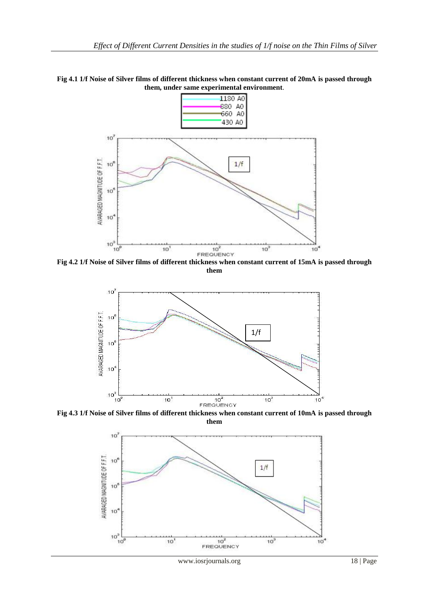



**Fig 4.2 1/f Noise of Silver films of different thickness when constant current of 15mA is passed through them**



**Fig 4.3 1/f Noise of Silver films of different thickness when constant current of 10mA is passed through them**



www.iosrjournals.org 18 | Page